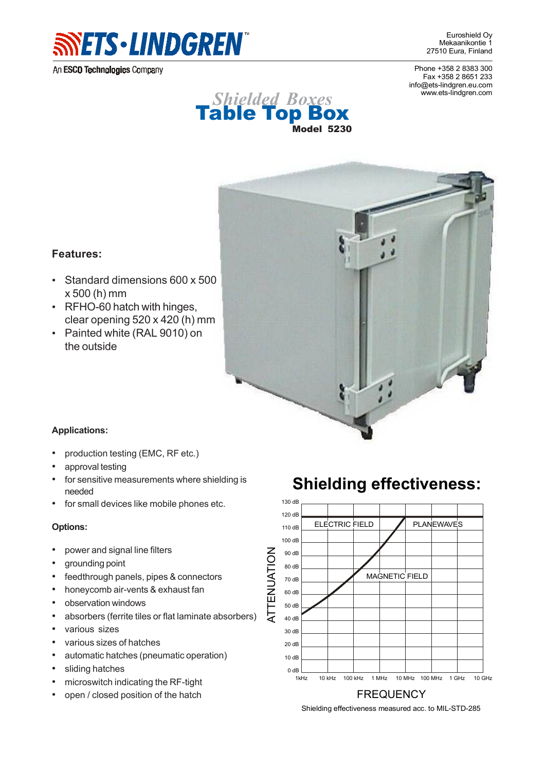

An ESCO Technologies Company

Euroshield Oy Mekaanikontie 1 27510 Eura, Finland

Phone +358 2 8383 300 Fax +358 2 8651 233 info@ets-lindgren.eu.com www.ets-lindgren.com





## **Features:**

- Standard dimensions 600 x 500 x 500 (h) mm
- RFHO-60 hatch with hinges. clear opening 520 x 420 (h) mm
- Painted white (RAL 9010) on the outside

## **Applications:**

- production testing (EMC, RF etc.)
- approval testing
- for sensitive measurements where shielding is needed
- for small devices like mobile phones etc.

## **Options:**

- power and signal line filters
- grounding point
- feedthrough panels, pipes & connectors
- honeycomb air-vents & exhaust fan
- observation windows
- absorbers (ferrite tiles or flat laminate absorbers)
- various sizes
- various sizes of hatches
- automatic hatches (pneumatic operation)
- sliding hatches
- microswitch indicating the RF-tight
- open / closed position of the hatch





Shielding effectiveness measured acc. to MIL-STD-285